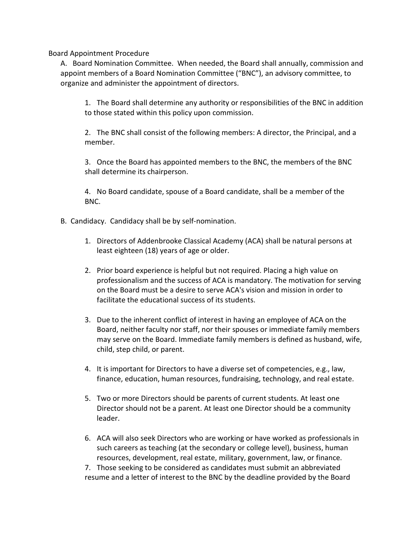Board Appointment Procedure

A. Board Nomination Committee. When needed, the Board shall annually, commission and appoint members of a Board Nomination Committee ("BNC"), an advisory committee, to organize and administer the appointment of directors.

1. The Board shall determine any authority or responsibilities of the BNC in addition to those stated within this policy upon commission.

2. The BNC shall consist of the following members: A director, the Principal, and a member.

3. Once the Board has appointed members to the BNC, the members of the BNC shall determine its chairperson.

4. No Board candidate, spouse of a Board candidate, shall be a member of the BNC.

- B. Candidacy. Candidacy shall be by self-nomination.
	- 1. Directors of Addenbrooke Classical Academy (ACA) shall be natural persons at least eighteen (18) years of age or older.
	- 2. Prior board experience is helpful but not required. Placing a high value on professionalism and the success of ACA is mandatory. The motivation for serving on the Board must be a desire to serve ACA's vision and mission in order to facilitate the educational success of its students.
	- 3. Due to the inherent conflict of interest in having an employee of ACA on the Board, neither faculty nor staff, nor their spouses or immediate family members may serve on the Board. Immediate family members is defined as husband, wife, child, step child, or parent.
	- 4. It is important for Directors to have a diverse set of competencies, e.g., law, finance, education, human resources, fundraising, technology, and real estate.
	- 5. Two or more Directors should be parents of current students. At least one Director should not be a parent. At least one Director should be a community leader.
	- 6. ACA will also seek Directors who are working or have worked as professionals in such careers as teaching (at the secondary or college level), business, human resources, development, real estate, military, government, law, or finance.

7. Those seeking to be considered as candidates must submit an abbreviated resume and a letter of interest to the BNC by the deadline provided by the Board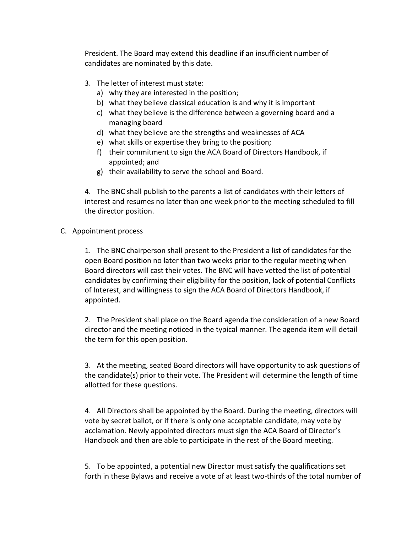President. The Board may extend this deadline if an insufficient number of candidates are nominated by this date.

- 3. The letter of interest must state:
	- a) why they are interested in the position;
	- b) what they believe classical education is and why it is important
	- c) what they believe is the difference between a governing board and a managing board
	- d) what they believe are the strengths and weaknesses of ACA
	- e) what skills or expertise they bring to the position;
	- f) their commitment to sign the ACA Board of Directors Handbook, if appointed; and
	- g) their availability to serve the school and Board.

4. The BNC shall publish to the parents a list of candidates with their letters of interest and resumes no later than one week prior to the meeting scheduled to fill the director position.

C. Appointment process

1. The BNC chairperson shall present to the President a list of candidates for the open Board position no later than two weeks prior to the regular meeting when Board directors will cast their votes. The BNC will have vetted the list of potential candidates by confirming their eligibility for the position, lack of potential Conflicts of Interest, and willingness to sign the ACA Board of Directors Handbook, if appointed.

2. The President shall place on the Board agenda the consideration of a new Board director and the meeting noticed in the typical manner. The agenda item will detail the term for this open position.

3. At the meeting, seated Board directors will have opportunity to ask questions of the candidate(s) prior to their vote. The President will determine the length of time allotted for these questions.

4. All Directors shall be appointed by the Board. During the meeting, directors will vote by secret ballot, or if there is only one acceptable candidate, may vote by acclamation. Newly appointed directors must sign the ACA Board of Director's Handbook and then are able to participate in the rest of the Board meeting.

5. To be appointed, a potential new Director must satisfy the qualifications set forth in these Bylaws and receive a vote of at least two-thirds of the total number of